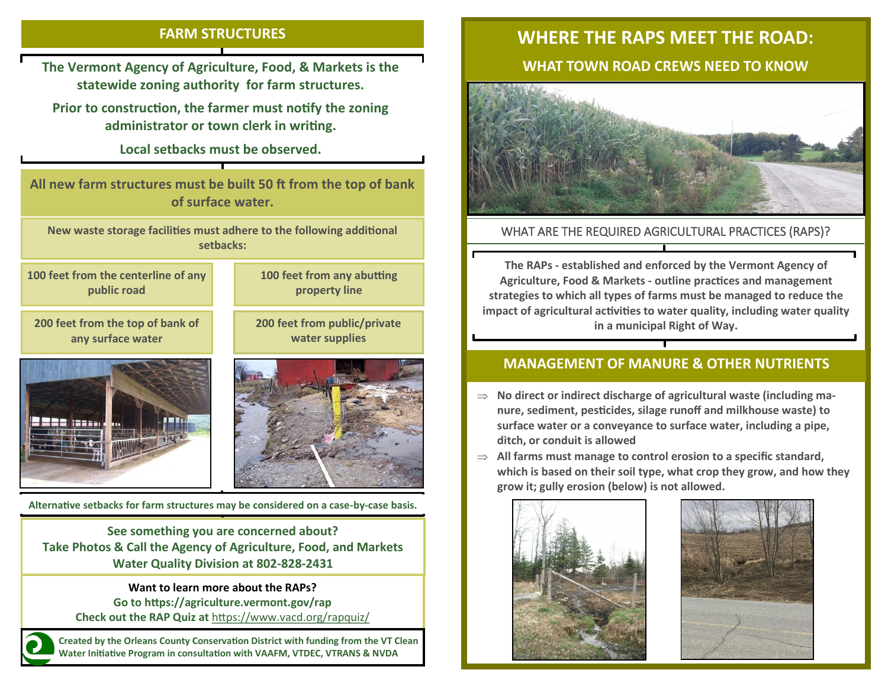#### **FARM STRUCTURES**

**The Vermont Agency of Agriculture, Food, & Markets is the statewide zoning authority for farm structures.** 

**Prior to construction, the farmer must notify the zoning administrator or town clerk in writing.** 

**Local setbacks must be observed.**

**All new farm structures must be built 50 ft from the top of bank of surface water.**

**New waste storage facilities must adhere to the following additional setbacks:**

**100 feet from the centerline of any public road**

**200 feet from the top of bank of any surface water**

**100 feet from any abutting property line**

**200 feet from public/private water supplies**





**Alternative setbacks for farm structures may be considered on a case-by-case basis.**

**See something you are concerned about? Take Photos & Call the Agency of Agriculture, Food, and Markets Water Quality Division at 802-828-2431** 

> **Want to learn more about the RAPs? Go to https://agriculture.vermont.gov/rap**

**Check out the RAP Quiz at** <https://www.vacd.org/rapquiz/>

**Created by the Orleans County Conservation District with funding from the VT Clean Water Initiative Program in consultation with VAAFM, VTDEC, VTRANS & NVDA**

# **WHERE THE RAPS MEET THE ROAD:**

# **WHAT TOWN ROAD CREWS NEED TO KNOW**



## WHAT ARE THE REQUIRED AGRICULTURAL PRACTICES (RAPS)?

**The RAPs - established and enforced by the Vermont Agency of Agriculture, Food & Markets - outline practices and management strategies to which all types of farms must be managed to reduce the impact of agricultural activities to water quality, including water quality in a municipal Right of Way.**

## **MANAGEMENT OF MANURE & OTHER NUTRIENTS**

- **No direct or indirect discharge of agricultural waste (including manure, sediment, pesticides, silage runoff and milkhouse waste) to surface water or a conveyance to surface water, including a pipe, ditch, or conduit is allowed**
- **All farms must manage to control erosion to a specific standard, which is based on their soil type, what crop they grow, and how they grow it; gully erosion (below) is not allowed.**